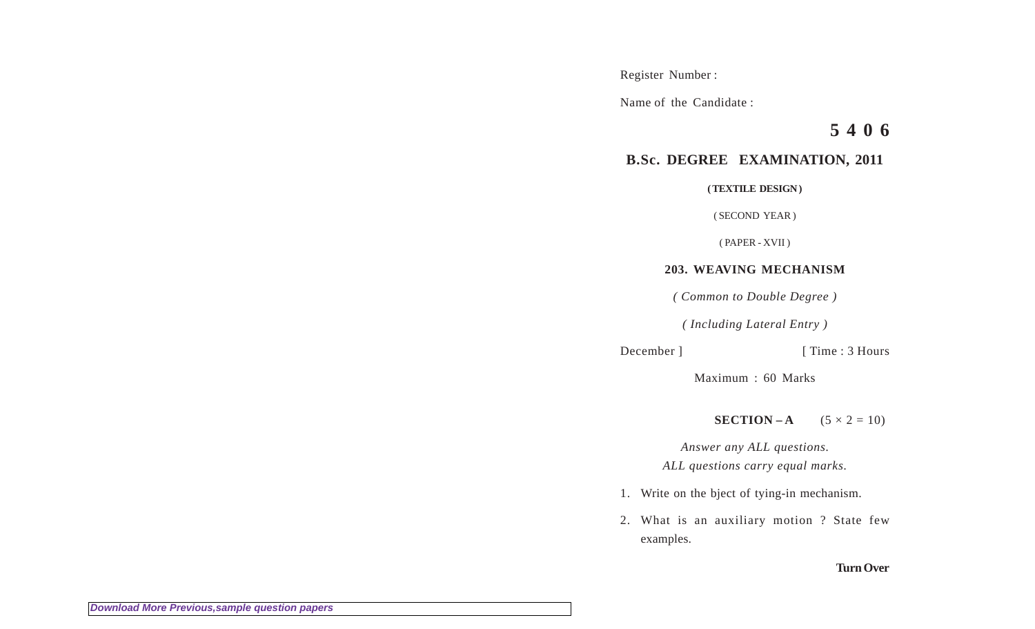Register Number :

Name of the Candidate :

**5 4 0 6**

## **B.Sc. DEGREE EXAMINATION, 2011**

**( TEXTILE DESIGN )**

( SECOND YEAR )

( PAPER - XVII )

## **203. WEAVING MECHANISM**

*( Common to Double Degree )*

*( Including Lateral Entry )*

December ] [ Time : 3 Hours

Maximum : 60 Marks

**SECTION – A**  $(5 \times 2 = 10)$ 

*Answer any ALL questions. ALL questions carry equal marks.*

- 1. Write on the bject of tying-in mechanism.
- 2. What is an auxiliary motion ? State few examples.

## **Turn Over**